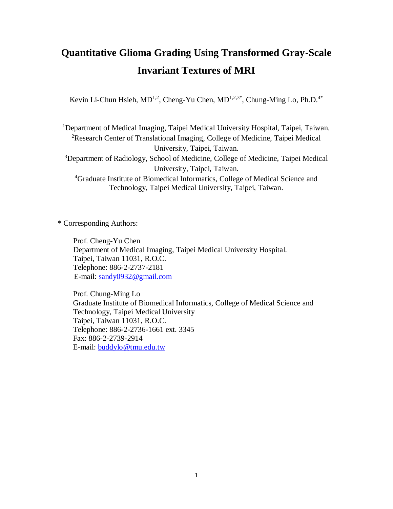# **Quantitative Glioma Grading Using Transformed Gray-Scale Invariant Textures of MRI**

Kevin Li-Chun Hsieh,  $MD^{1,2}$ , Cheng-Yu Chen,  $MD^{1,2,3*}$ , Chung-Ming Lo, Ph.D.<sup>4\*</sup>

<sup>1</sup>Department of Medical Imaging, Taipei Medical University Hospital, Taipei, Taiwan. <sup>2</sup>Research Center of Translational Imaging, College of Medicine, Taipei Medical University, Taipei, Taiwan. <sup>3</sup>Department of Radiology, School of Medicine, College of Medicine, Taipei Medical University, Taipei, Taiwan. <sup>4</sup>Graduate Institute of Biomedical Informatics, College of Medical Science and Technology, Taipei Medical University, Taipei, Taiwan.

\* Corresponding Authors:

 Prof. Cheng-Yu Chen Department of Medical Imaging, Taipei Medical University Hospital. Taipei, Taiwan 11031, R.O.C. Telephone: 886-2-2737-2181 E-mail: [sandy0932@gmail.com](mailto:sandy0932@gmail.com)

Prof. Chung-Ming Lo Graduate Institute of Biomedical Informatics, College of Medical Science and Technology, Taipei Medical University Taipei, Taiwan 11031, R.O.C. Telephone: 886-2-2736-1661 ext. 3345 Fax: 886-2-2739-2914 E-mail: [buddylo@tmu.edu.tw](mailto:buddylo@tmu.edu.tw)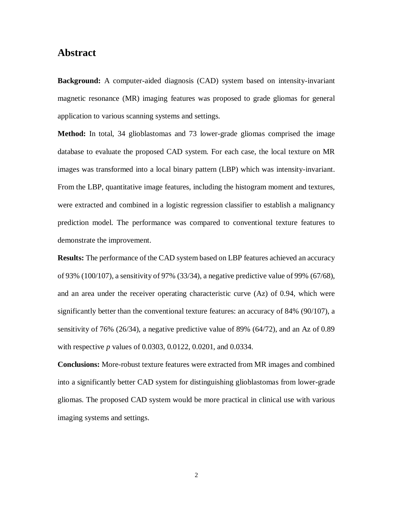### **Abstract**

**Background:** A computer-aided diagnosis (CAD) system based on intensity-invariant magnetic resonance (MR) imaging features was proposed to grade gliomas for general application to various scanning systems and settings.

**Method:** In total, 34 glioblastomas and 73 lower-grade gliomas comprised the image database to evaluate the proposed CAD system. For each case, the local texture on MR images was transformed into a local binary pattern (LBP) which was intensity-invariant. From the LBP, quantitative image features, including the histogram moment and textures, were extracted and combined in a logistic regression classifier to establish a malignancy prediction model. The performance was compared to conventional texture features to demonstrate the improvement.

**Results:** The performance of the CAD system based on LBP features achieved an accuracy of 93% (100/107), a sensitivity of 97% (33/34), a negative predictive value of 99% (67/68), and an area under the receiver operating characteristic curve (Az) of 0.94, which were significantly better than the conventional texture features: an accuracy of 84% (90/107), a sensitivity of 76% (26/34), a negative predictive value of 89% (64/72), and an Az of 0.89 with respective *p* values of 0.0303, 0.0122, 0.0201, and 0.0334.

**Conclusions:** More-robust texture features were extracted from MR images and combined into a significantly better CAD system for distinguishing glioblastomas from lower-grade gliomas. The proposed CAD system would be more practical in clinical use with various imaging systems and settings.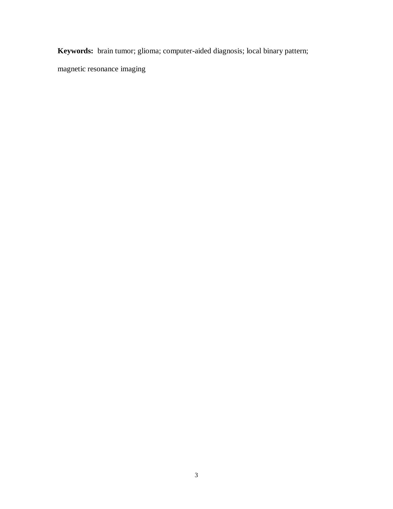**Keywords:** brain tumor; glioma; computer-aided diagnosis; local binary pattern;

magnetic resonance imaging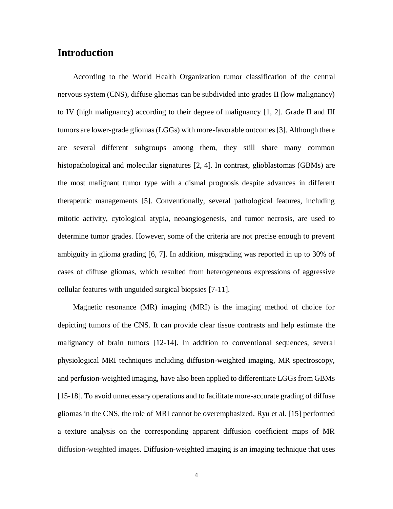### **Introduction**

According to the World Health Organization tumor classification of the central nervous system (CNS), diffuse gliomas can be subdivided into grades II (low malignancy) to IV (high malignancy) according to their degree of malignancy [1, 2]. Grade II and III tumors are lower-grade gliomas (LGGs) with more-favorable outcomes [3]. Although there are several different subgroups among them, they still share many common histopathological and molecular signatures [2, 4]. In contrast, glioblastomas (GBMs) are the most malignant tumor type with a dismal prognosis despite advances in different therapeutic managements [5]. Conventionally, several pathological features, including mitotic activity, cytological atypia, neoangiogenesis, and tumor necrosis, are used to determine tumor grades. However, some of the criteria are not precise enough to prevent ambiguity in glioma grading [6, 7]. In addition, misgrading was reported in up to 30% of cases of diffuse gliomas, which resulted from heterogeneous expressions of aggressive cellular features with unguided surgical biopsies [7-11].

Magnetic resonance (MR) imaging (MRI) is the imaging method of choice for depicting tumors of the CNS. It can provide clear tissue contrasts and help estimate the malignancy of brain tumors [12-14]. In addition to conventional sequences, several physiological MRI techniques including diffusion-weighted imaging, MR spectroscopy, and perfusion-weighted imaging, have also been applied to differentiate LGGs from GBMs [15-18]. To avoid unnecessary operations and to facilitate more-accurate grading of diffuse gliomas in the CNS, the role of MRI cannot be overemphasized. Ryu et al. [15] performed a texture analysis on the corresponding apparent diffusion coefficient maps of MR diffusion-weighted images. Diffusion-weighted imaging is an imaging technique that uses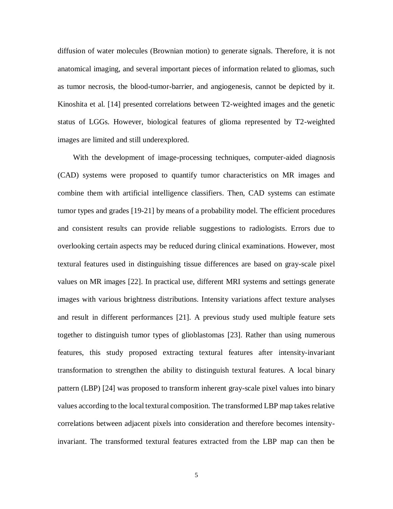diffusion of water molecules (Brownian motion) to generate signals. Therefore, it is not anatomical imaging, and several important pieces of information related to gliomas, such as tumor necrosis, the blood-tumor-barrier, and angiogenesis, cannot be depicted by it. Kinoshita et al. [14] presented correlations between T2-weighted images and the genetic status of LGGs. However, biological features of glioma represented by T2-weighted images are limited and still underexplored.

With the development of image-processing techniques, computer-aided diagnosis (CAD) systems were proposed to quantify tumor characteristics on MR images and combine them with artificial intelligence classifiers. Then, CAD systems can estimate tumor types and grades [19-21] by means of a probability model. The efficient procedures and consistent results can provide reliable suggestions to radiologists. Errors due to overlooking certain aspects may be reduced during clinical examinations. However, most textural features used in distinguishing tissue differences are based on gray-scale pixel values on MR images [22]. In practical use, different MRI systems and settings generate images with various brightness distributions. Intensity variations affect texture analyses and result in different performances [21]. A previous study used multiple feature sets together to distinguish tumor types of glioblastomas [23]. Rather than using numerous features, this study proposed extracting textural features after intensity-invariant transformation to strengthen the ability to distinguish textural features. A local binary pattern (LBP) [24] was proposed to transform inherent gray-scale pixel values into binary values according to the local textural composition. The transformed LBP map takes relative correlations between adjacent pixels into consideration and therefore becomes intensityinvariant. The transformed textural features extracted from the LBP map can then be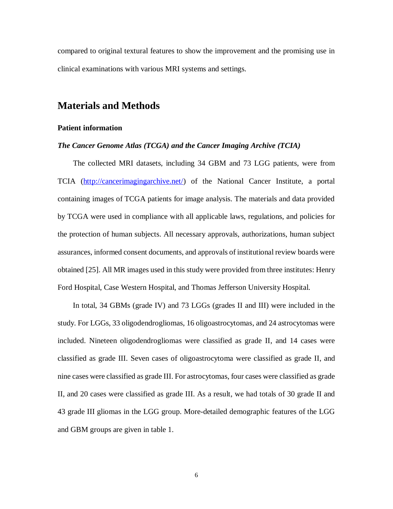compared to original textural features to show the improvement and the promising use in clinical examinations with various MRI systems and settings.

### **Materials and Methods**

### **Patient information**

#### *The Cancer Genome Atlas (TCGA) and the Cancer Imaging Archive (TCIA)*

The collected MRI datasets, including 34 GBM and 73 LGG patients, were from TCIA [\(http://cancerimagingarchive.net/\)](http://cancerimagingarchive.net/) of the National Cancer Institute, a portal containing images of TCGA patients for image analysis. The materials and data provided by TCGA were used in compliance with all applicable laws, regulations, and policies for the protection of human subjects. All necessary approvals, authorizations, human subject assurances, informed consent documents, and approvals of institutional review boards were obtained [25]. All MR images used in this study were provided from three institutes: Henry Ford Hospital, Case Western Hospital, and Thomas Jefferson University Hospital.

In total, 34 GBMs (grade IV) and 73 LGGs (grades II and III) were included in the study. For LGGs, 33 oligodendrogliomas, 16 oligoastrocytomas, and 24 astrocytomas were included. Nineteen oligodendrogliomas were classified as grade II, and 14 cases were classified as grade III. Seven cases of oligoastrocytoma were classified as grade II, and nine cases were classified as grade III. For astrocytomas, four cases were classified as grade II, and 20 cases were classified as grade III. As a result, we had totals of 30 grade II and 43 grade III gliomas in the LGG group. More-detailed demographic features of the LGG and GBM groups are given in table 1.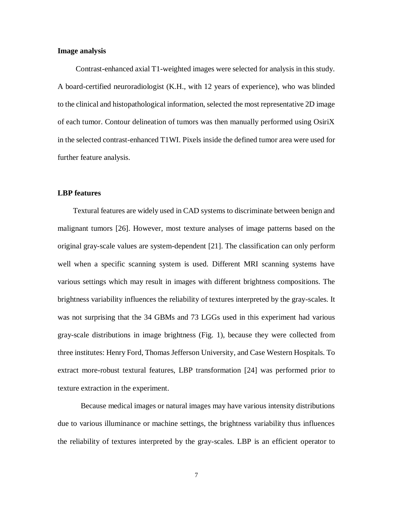#### **Image analysis**

Contrast-enhanced axial T1-weighted images were selected for analysis in this study. A board-certified neuroradiologist (K.H., with 12 years of experience), who was blinded to the clinical and histopathological information, selected the most representative 2D image of each tumor. Contour delineation of tumors was then manually performed using OsiriX in the selected contrast-enhanced T1WI. Pixels inside the defined tumor area were used for further feature analysis.

#### **LBP features**

Textural features are widely used in CAD systems to discriminate between benign and malignant tumors [26]. However, most texture analyses of image patterns based on the original gray-scale values are system-dependent [21]. The classification can only perform well when a specific scanning system is used. Different MRI scanning systems have various settings which may result in images with different brightness compositions. The brightness variability influences the reliability of textures interpreted by the gray-scales. It was not surprising that the 34 GBMs and 73 LGGs used in this experiment had various gray-scale distributions in image brightness (Fig. 1), because they were collected from three institutes: Henry Ford, Thomas Jefferson University, and Case Western Hospitals. To extract more-robust textural features, LBP transformation [24] was performed prior to texture extraction in the experiment.

Because medical images or natural images may have various intensity distributions due to various illuminance or machine settings, the brightness variability thus influences the reliability of textures interpreted by the gray-scales. LBP is an efficient operator to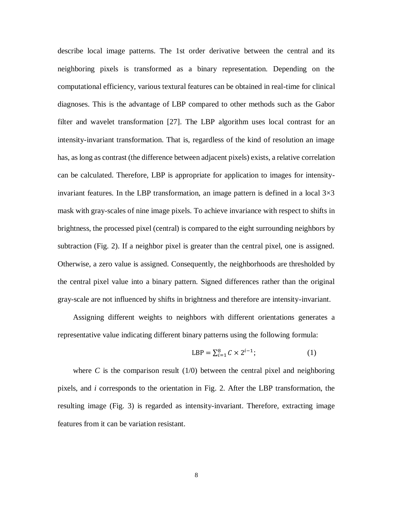describe local image patterns. The 1st order derivative between the central and its neighboring pixels is transformed as a binary representation. Depending on the computational efficiency, various textural features can be obtained in real-time for clinical diagnoses. This is the advantage of LBP compared to other methods such as the Gabor filter and wavelet transformation [27]. The LBP algorithm uses local contrast for an intensity-invariant transformation. That is, regardless of the kind of resolution an image has, as long as contrast (the difference between adjacent pixels) exists, a relative correlation can be calculated. Therefore, LBP is appropriate for application to images for intensityinvariant features. In the LBP transformation, an image pattern is defined in a local  $3\times3$ mask with gray-scales of nine image pixels. To achieve invariance with respect to shifts in brightness, the processed pixel (central) is compared to the eight surrounding neighbors by subtraction (Fig. 2). If a neighbor pixel is greater than the central pixel, one is assigned. Otherwise, a zero value is assigned. Consequently, the neighborhoods are thresholded by the central pixel value into a binary pattern. Signed differences rather than the original gray-scale are not influenced by shifts in brightness and therefore are intensity-invariant.

Assigning different weights to neighbors with different orientations generates a representative value indicating different binary patterns using the following formula:

$$
LBP = \sum_{i=1}^{8} C \times 2^{i-1};
$$
 (1)

where  $C$  is the comparison result  $(1/0)$  between the central pixel and neighboring pixels, and *i* corresponds to the orientation in Fig. 2. After the LBP transformation, the resulting image (Fig. 3) is regarded as intensity-invariant. Therefore, extracting image features from it can be variation resistant.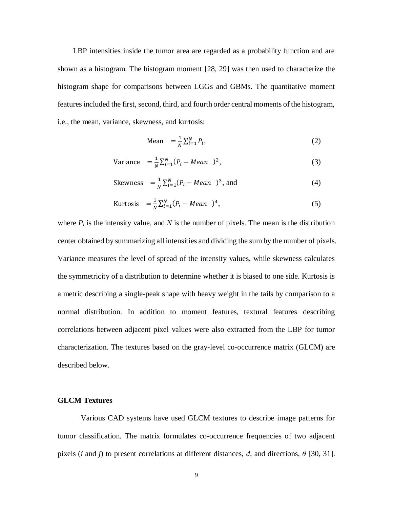LBP intensities inside the tumor area are regarded as a probability function and are shown as a histogram. The histogram moment [28, 29] was then used to characterize the histogram shape for comparisons between LGGs and GBMs. The quantitative moment features included the first, second, third, and fourth order central moments of the histogram, i.e., the mean, variance, skewness, and kurtosis:

$$
\text{Mean} = \frac{1}{N} \sum_{i=1}^{N} P_i,\tag{2}
$$

Variance 
$$
= \frac{1}{N} \sum_{i=1}^{N} (P_i - Mean)^2,
$$
 (3)

Skewness 
$$
= \frac{1}{N} \sum_{i=1}^{N} (P_i - Mean)^3
$$
, and (4)

Kurtosis 
$$
= \frac{1}{N} \sum_{i=1}^{N} (P_i - Mean)^4,
$$
 (5)

where  $P_i$  is the intensity value, and N is the number of pixels. The mean is the distribution center obtained by summarizing all intensities and dividing the sum by the number of pixels. Variance measures the level of spread of the intensity values, while skewness calculates the symmetricity of a distribution to determine whether it is biased to one side. Kurtosis is a metric describing a single-peak shape with heavy weight in the tails by comparison to a normal distribution. In addition to moment features, textural features describing correlations between adjacent pixel values were also extracted from the LBP for tumor characterization. The textures based on the gray-level co-occurrence matrix (GLCM) are described below.

#### **GLCM Textures**

Various CAD systems have used GLCM textures to describe image patterns for tumor classification. The matrix formulates co-occurrence frequencies of two adjacent pixels (*i* and *j*) to present correlations at different distances, *d*, and directions, *θ* [30, 31].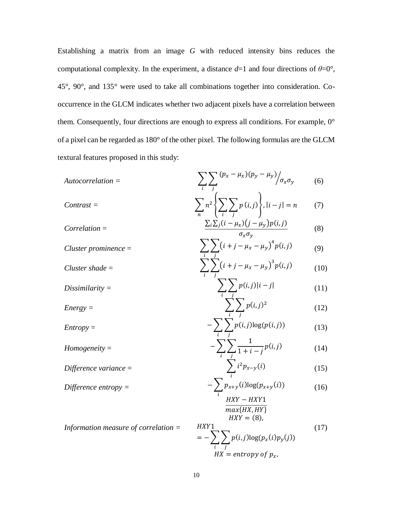Establishing a matrix from an image *G* with reduced intensity bins reduces the computational complexity. In the experiment, a distance  $d=1$  and four directions of  $\theta=0^{\circ}$ , 45°, 90°, and 135° were used to take all combinations together into consideration. Cooccurrence in the GLCM indicates whether two adjacent pixels have a correlation between them. Consequently, four directions are enough to express all conditions. For example, 0° of a pixel can be regarded as 180° of the other pixel. The following formulas are the GLCM textural features proposed in this study:

| Autocorrelation =                    | \n $\sum_{i} \sum_{j} (p_{x} - \mu_{x})(p_{y} - \mu_{y}) / \sigma_{x} \sigma_{y}$ \n | (6)  |
|--------------------------------------|--------------------------------------------------------------------------------------|------|
| Contrast =                           | \n $\sum_{n} n^{2} \left\{ \sum_{i} \sum_{j} p(i,j) \right\},  i - j  = n$ \n        | (7)  |
| Correlation =                        | \n $\sum_{i} \sum_{j} (i - \mu_{x})(j - \mu_{y})p(i,j)$ \n                           | (8)  |
| Cluster prominence =                 | \n $\sum_{i} \sum_{j} (i + j - \mu_{x} - \mu_{y})^{4} p(i,j)$ \n                     | (9)  |
| Cluster shade =                      | \n $\sum_{i} \sum_{j} p(i,j)  i - j $ \n                                             | (11) |
| Dissimilarity =                      | \n $\sum_{i} \sum_{j} p(i,j)  i - j $ \n                                             | (12) |
| Energy =                             | \n $\sum_{i} \sum_{j} p(i,j) \log(p(i,j))$ \n                                        | (13) |
| Homogeneity =                        | \n $-\sum_{i} \sum_{j} \sum_{j} \frac{1}{1 + i - j} p(i,j)$ \n                       | (14) |
| Difference variance =                | \n $\sum_{i} i^{2} p_{x-y}(i)$ \n                                                    | (15) |
| Difference entropy =                 | \n $-\sum_{i} p_{x+y}(i) \log(p_{x+y}(i))$ \n                                        | (16) |
| Information measure of correlation = | \n $\sum_{i} p(i,j) \log(p_{x}(i)p_{y}(j))$ \n                                       | (17) |
| Maximum                              | \n $\sum_{i} p(i,j) \log(p_{x}($                                                     |      |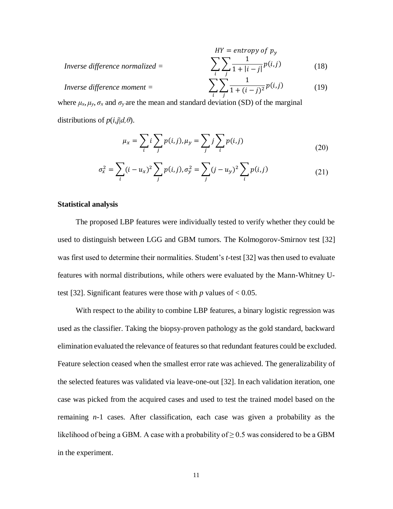$$
HY = entropy of p_y
$$
  
Inverse difference normalized = 
$$
\sum_{i} \sum_{j} \frac{1}{1 + |i - j|} p(i,j)
$$
(18)

$$
Inverse difference moment = \qquad \qquad \sum
$$

$$
\sum_{i} \sum_{j} \frac{1}{1 + (i - j)^2} p(i, j) \tag{19}
$$

where  $\mu_x, \mu_y, \sigma_x$  and  $\sigma_y$  are the mean and standard deviation (SD) of the marginal distributions of  $p(i,j|d, \theta)$ .

$$
\mu_x = \sum_i i \sum_j p(i,j), \mu_y = \sum_j j \sum_i p(i,j) \tag{20}
$$

$$
\sigma_x^2 = \sum_i (i - u_x)^2 \sum_j p(i, j), \sigma_y^2 = \sum_j (j - u_y)^2 \sum_i p(i, j)
$$
 (21)

#### **Statistical analysis**

The proposed LBP features were individually tested to verify whether they could be used to distinguish between LGG and GBM tumors. The Kolmogorov-Smirnov test [32] was first used to determine their normalities. Student's *t*-test [32] was then used to evaluate features with normal distributions, while others were evaluated by the Mann-Whitney Utest [32]. Significant features were those with  $p$  values of  $< 0.05$ .

With respect to the ability to combine LBP features, a binary logistic regression was used as the classifier. Taking the biopsy-proven pathology as the gold standard, backward elimination evaluated the relevance of features so that redundant features could be excluded. Feature selection ceased when the smallest error rate was achieved. The generalizability of the selected features was validated via leave-one-out [32]. In each validation iteration, one case was picked from the acquired cases and used to test the trained model based on the remaining *n*-1 cases. After classification, each case was given a probability as the likelihood of being a GBM. A case with a probability of  $\geq$  0.5 was considered to be a GBM in the experiment.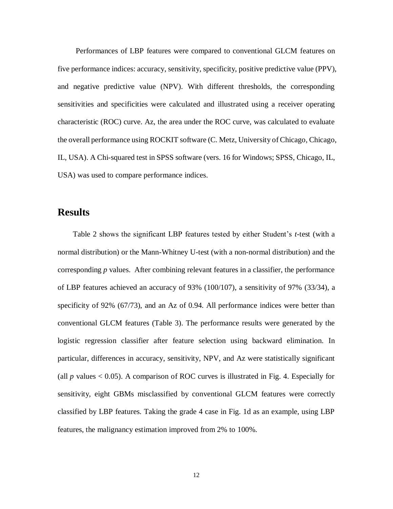Performances of LBP features were compared to conventional GLCM features on five performance indices: accuracy, sensitivity, specificity, positive predictive value (PPV), and negative predictive value (NPV). With different thresholds, the corresponding sensitivities and specificities were calculated and illustrated using a receiver operating characteristic (ROC) curve. Az, the area under the ROC curve, was calculated to evaluate the overall performance using ROCKIT software (C. Metz, University of Chicago, Chicago, IL, USA). A Chi-squared test in SPSS software (vers. 16 for Windows; SPSS, Chicago, IL, USA) was used to compare performance indices.

### **Results**

Table 2 shows the significant LBP features tested by either Student's *t*-test (with a normal distribution) or the Mann-Whitney U-test (with a non-normal distribution) and the corresponding *p* values. After combining relevant features in a classifier, the performance of LBP features achieved an accuracy of 93% (100/107), a sensitivity of 97% (33/34), a specificity of 92% (67/73), and an Az of 0.94. All performance indices were better than conventional GLCM features (Table 3). The performance results were generated by the logistic regression classifier after feature selection using backward elimination. In particular, differences in accuracy, sensitivity, NPV, and Az were statistically significant (all  $p$  values  $< 0.05$ ). A comparison of ROC curves is illustrated in Fig. 4. Especially for sensitivity, eight GBMs misclassified by conventional GLCM features were correctly classified by LBP features. Taking the grade 4 case in Fig. 1d as an example, using LBP features, the malignancy estimation improved from 2% to 100%.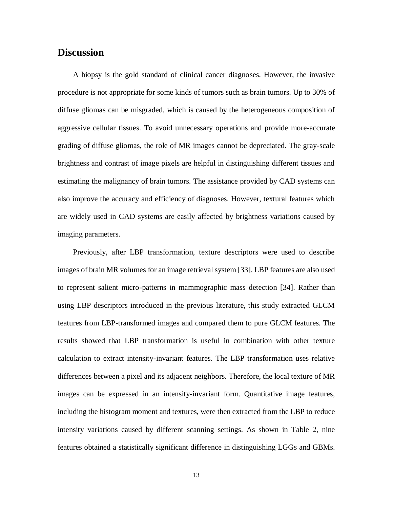### **Discussion**

A biopsy is the gold standard of clinical cancer diagnoses. However, the invasive procedure is not appropriate for some kinds of tumors such as brain tumors. Up to 30% of diffuse gliomas can be misgraded, which is caused by the heterogeneous composition of aggressive cellular tissues. To avoid unnecessary operations and provide more-accurate grading of diffuse gliomas, the role of MR images cannot be depreciated. The gray-scale brightness and contrast of image pixels are helpful in distinguishing different tissues and estimating the malignancy of brain tumors. The assistance provided by CAD systems can also improve the accuracy and efficiency of diagnoses. However, textural features which are widely used in CAD systems are easily affected by brightness variations caused by imaging parameters.

Previously, after LBP transformation, texture descriptors were used to describe images of brain MR volumes for an image retrieval system [33]. LBP features are also used to represent salient micro-patterns in mammographic mass detection [34]. Rather than using LBP descriptors introduced in the previous literature, this study extracted GLCM features from LBP-transformed images and compared them to pure GLCM features. The results showed that LBP transformation is useful in combination with other texture calculation to extract intensity-invariant features. The LBP transformation uses relative differences between a pixel and its adjacent neighbors. Therefore, the local texture of MR images can be expressed in an intensity-invariant form. Quantitative image features, including the histogram moment and textures, were then extracted from the LBP to reduce intensity variations caused by different scanning settings. As shown in Table 2, nine features obtained a statistically significant difference in distinguishing LGGs and GBMs.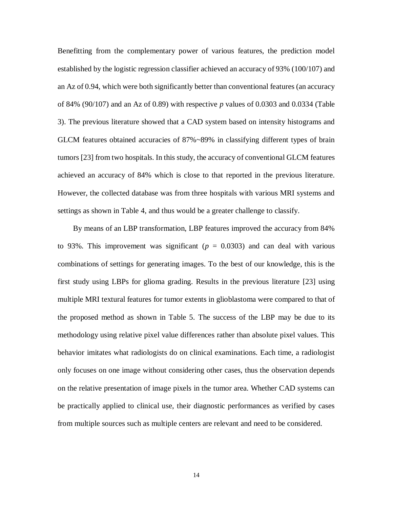Benefitting from the complementary power of various features, the prediction model established by the logistic regression classifier achieved an accuracy of 93% (100/107) and an Az of 0.94, which were both significantly better than conventional features (an accuracy of 84% (90/107) and an Az of 0.89) with respective *p* values of 0.0303 and 0.0334 (Table 3). The previous literature showed that a CAD system based on intensity histograms and GLCM features obtained accuracies of 87%~89% in classifying different types of brain tumors [23] from two hospitals. In this study, the accuracy of conventional GLCM features achieved an accuracy of 84% which is close to that reported in the previous literature. However, the collected database was from three hospitals with various MRI systems and settings as shown in Table 4, and thus would be a greater challenge to classify.

By means of an LBP transformation, LBP features improved the accuracy from 84% to 93%. This improvement was significant  $(p = 0.0303)$  and can deal with various combinations of settings for generating images. To the best of our knowledge, this is the first study using LBPs for glioma grading. Results in the previous literature [23] using multiple MRI textural features for tumor extents in glioblastoma were compared to that of the proposed method as shown in Table 5. The success of the LBP may be due to its methodology using relative pixel value differences rather than absolute pixel values. This behavior imitates what radiologists do on clinical examinations. Each time, a radiologist only focuses on one image without considering other cases, thus the observation depends on the relative presentation of image pixels in the tumor area. Whether CAD systems can be practically applied to clinical use, their diagnostic performances as verified by cases from multiple sources such as multiple centers are relevant and need to be considered.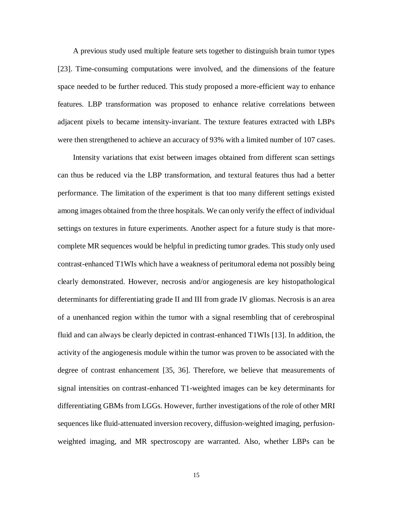A previous study used multiple feature sets together to distinguish brain tumor types [23]. Time-consuming computations were involved, and the dimensions of the feature space needed to be further reduced. This study proposed a more-efficient way to enhance features. LBP transformation was proposed to enhance relative correlations between adjacent pixels to became intensity-invariant. The texture features extracted with LBPs were then strengthened to achieve an accuracy of 93% with a limited number of 107 cases.

Intensity variations that exist between images obtained from different scan settings can thus be reduced via the LBP transformation, and textural features thus had a better performance. The limitation of the experiment is that too many different settings existed among images obtained from the three hospitals. We can only verify the effect of individual settings on textures in future experiments. Another aspect for a future study is that morecomplete MR sequences would be helpful in predicting tumor grades. This study only used contrast-enhanced T1WIs which have a weakness of peritumoral edema not possibly being clearly demonstrated. However, necrosis and/or angiogenesis are key histopathological determinants for differentiating grade II and III from grade IV gliomas. Necrosis is an area of a unenhanced region within the tumor with a signal resembling that of cerebrospinal fluid and can always be clearly depicted in contrast-enhanced T1WIs [13]. In addition, the activity of the angiogenesis module within the tumor was proven to be associated with the degree of contrast enhancement [35, 36]. Therefore, we believe that measurements of signal intensities on contrast-enhanced T1-weighted images can be key determinants for differentiating GBMs from LGGs. However, further investigations of the role of other MRI sequences like fluid-attenuated inversion recovery, diffusion-weighted imaging, perfusionweighted imaging, and MR spectroscopy are warranted. Also, whether LBPs can be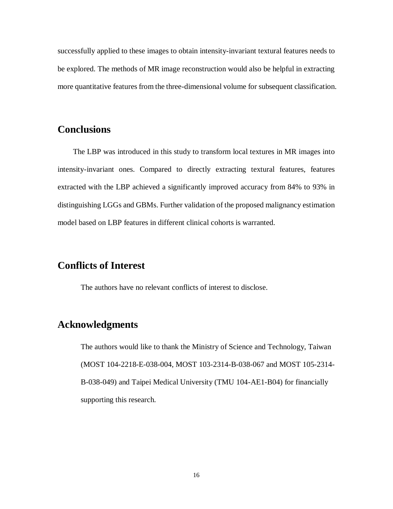successfully applied to these images to obtain intensity-invariant textural features needs to be explored. The methods of MR image reconstruction would also be helpful in extracting more quantitative features from the three-dimensional volume for subsequent classification.

# **Conclusions**

The LBP was introduced in this study to transform local textures in MR images into intensity-invariant ones. Compared to directly extracting textural features, features extracted with the LBP achieved a significantly improved accuracy from 84% to 93% in distinguishing LGGs and GBMs. Further validation of the proposed malignancy estimation model based on LBP features in different clinical cohorts is warranted.

### **Conflicts of Interest**

The authors have no relevant conflicts of interest to disclose.

### **Acknowledgments**

The authors would like to thank the Ministry of Science and Technology, Taiwan (MOST 104-2218-E-038-004, MOST 103-2314-B-038-067 and MOST 105-2314- B-038-049) and Taipei Medical University (TMU 104-AE1-B04) for financially supporting this research.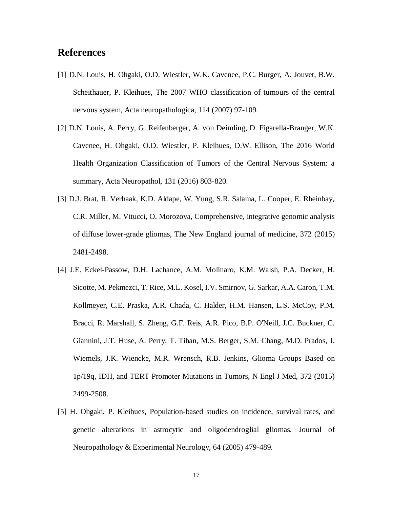## **References**

- [1] D.N. Louis, H. Ohgaki, O.D. Wiestler, W.K. Cavenee, P.C. Burger, A. Jouvet, B.W. Scheithauer, P. Kleihues, The 2007 WHO classification of tumours of the central nervous system, Acta neuropathologica, 114 (2007) 97-109.
- [2] D.N. Louis, A. Perry, G. Reifenberger, A. von Deimling, D. Figarella-Branger, W.K. Cavenee, H. Ohgaki, O.D. Wiestler, P. Kleihues, D.W. Ellison, The 2016 World Health Organization Classification of Tumors of the Central Nervous System: a summary, Acta Neuropathol, 131 (2016) 803-820.
- [3] D.J. Brat, R. Verhaak, K.D. Aldape, W. Yung, S.R. Salama, L. Cooper, E. Rheinbay, C.R. Miller, M. Vitucci, O. Morozova, Comprehensive, integrative genomic analysis of diffuse lower-grade gliomas, The New England journal of medicine, 372 (2015) 2481-2498.
- [4] J.E. Eckel-Passow, D.H. Lachance, A.M. Molinaro, K.M. Walsh, P.A. Decker, H. Sicotte, M. Pekmezci, T. Rice, M.L. Kosel, I.V. Smirnov, G. Sarkar, A.A. Caron, T.M. Kollmeyer, C.E. Praska, A.R. Chada, C. Halder, H.M. Hansen, L.S. McCoy, P.M. Bracci, R. Marshall, S. Zheng, G.F. Reis, A.R. Pico, B.P. O'Neill, J.C. Buckner, C. Giannini, J.T. Huse, A. Perry, T. Tihan, M.S. Berger, S.M. Chang, M.D. Prados, J. Wiemels, J.K. Wiencke, M.R. Wrensch, R.B. Jenkins, Glioma Groups Based on 1p/19q, IDH, and TERT Promoter Mutations in Tumors, N Engl J Med, 372 (2015) 2499-2508.
- [5] H. Ohgaki, P. Kleihues, Population-based studies on incidence, survival rates, and genetic alterations in astrocytic and oligodendroglial gliomas, Journal of Neuropathology & Experimental Neurology, 64 (2005) 479-489.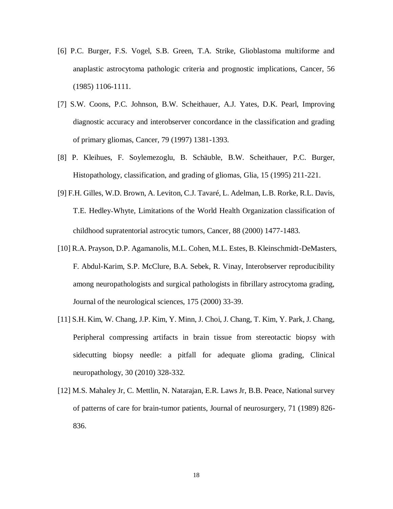- [6] P.C. Burger, F.S. Vogel, S.B. Green, T.A. Strike, Glioblastoma multiforme and anaplastic astrocytoma pathologic criteria and prognostic implications, Cancer, 56 (1985) 1106-1111.
- [7] S.W. Coons, P.C. Johnson, B.W. Scheithauer, A.J. Yates, D.K. Pearl, Improving diagnostic accuracy and interobserver concordance in the classification and grading of primary gliomas, Cancer, 79 (1997) 1381-1393.
- [8] P. Kleihues, F. Soylemezoglu, B. Schäuble, B.W. Scheithauer, P.C. Burger, Histopathology, classification, and grading of gliomas, Glia, 15 (1995) 211-221.
- [9] F.H. Gilles, W.D. Brown, A. Leviton, C.J. Tavaré, L. Adelman, L.B. Rorke, R.L. Davis, T.E. Hedley‐Whyte, Limitations of the World Health Organization classification of childhood supratentorial astrocytic tumors, Cancer, 88 (2000) 1477-1483.
- [10] R.A. Prayson, D.P. Agamanolis, M.L. Cohen, M.L. Estes, B. Kleinschmidt-DeMasters, F. Abdul-Karim, S.P. McClure, B.A. Sebek, R. Vinay, Interobserver reproducibility among neuropathologists and surgical pathologists in fibrillary astrocytoma grading, Journal of the neurological sciences, 175 (2000) 33-39.
- [11] S.H. Kim, W. Chang, J.P. Kim, Y. Minn, J. Choi, J. Chang, T. Kim, Y. Park, J. Chang, Peripheral compressing artifacts in brain tissue from stereotactic biopsy with sidecutting biopsy needle: a pitfall for adequate glioma grading, Clinical neuropathology, 30 (2010) 328-332.
- [12] M.S. Mahaley Jr, C. Mettlin, N. Natarajan, E.R. Laws Jr, B.B. Peace, National survey of patterns of care for brain-tumor patients, Journal of neurosurgery, 71 (1989) 826- 836.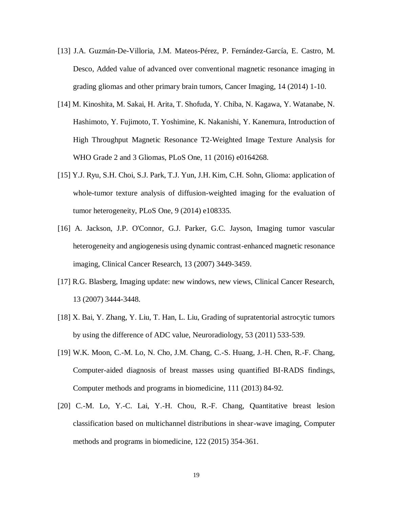- [13] J.A. Guzmán-De-Villoria, J.M. Mateos-Pérez, P. Fernández-García, E. Castro, M. Desco, Added value of advanced over conventional magnetic resonance imaging in grading gliomas and other primary brain tumors, Cancer Imaging, 14 (2014) 1-10.
- [14] M. Kinoshita, M. Sakai, H. Arita, T. Shofuda, Y. Chiba, N. Kagawa, Y. Watanabe, N. Hashimoto, Y. Fujimoto, T. Yoshimine, K. Nakanishi, Y. Kanemura, Introduction of High Throughput Magnetic Resonance T2-Weighted Image Texture Analysis for WHO Grade 2 and 3 Gliomas, PLoS One, 11 (2016) e0164268.
- [15] Y.J. Ryu, S.H. Choi, S.J. Park, T.J. Yun, J.H. Kim, C.H. Sohn, Glioma: application of whole-tumor texture analysis of diffusion-weighted imaging for the evaluation of tumor heterogeneity, PLoS One, 9 (2014) e108335.
- [16] A. Jackson, J.P. O'Connor, G.J. Parker, G.C. Jayson, Imaging tumor vascular heterogeneity and angiogenesis using dynamic contrast-enhanced magnetic resonance imaging, Clinical Cancer Research, 13 (2007) 3449-3459.
- [17] R.G. Blasberg, Imaging update: new windows, new views, Clinical Cancer Research, 13 (2007) 3444-3448.
- [18] X. Bai, Y. Zhang, Y. Liu, T. Han, L. Liu, Grading of supratentorial astrocytic tumors by using the difference of ADC value, Neuroradiology, 53 (2011) 533-539.
- [19] W.K. Moon, C.-M. Lo, N. Cho, J.M. Chang, C.-S. Huang, J.-H. Chen, R.-F. Chang, Computer-aided diagnosis of breast masses using quantified BI-RADS findings, Computer methods and programs in biomedicine, 111 (2013) 84-92.
- [20] C.-M. Lo, Y.-C. Lai, Y.-H. Chou, R.-F. Chang, Quantitative breast lesion classification based on multichannel distributions in shear-wave imaging, Computer methods and programs in biomedicine, 122 (2015) 354-361.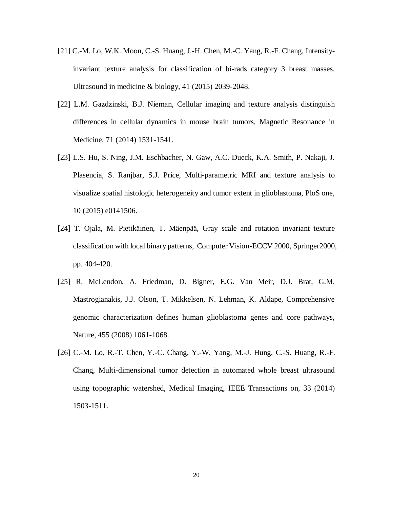- [21] C.-M. Lo, W.K. Moon, C.-S. Huang, J.-H. Chen, M.-C. Yang, R.-F. Chang, Intensityinvariant texture analysis for classification of bi-rads category 3 breast masses, Ultrasound in medicine & biology, 41 (2015) 2039-2048.
- [22] L.M. Gazdzinski, B.J. Nieman, Cellular imaging and texture analysis distinguish differences in cellular dynamics in mouse brain tumors, Magnetic Resonance in Medicine, 71 (2014) 1531-1541.
- [23] L.S. Hu, S. Ning, J.M. Eschbacher, N. Gaw, A.C. Dueck, K.A. Smith, P. Nakaji, J. Plasencia, S. Ranjbar, S.J. Price, Multi-parametric MRI and texture analysis to visualize spatial histologic heterogeneity and tumor extent in glioblastoma, PloS one, 10 (2015) e0141506.
- [24] T. Ojala, M. Pietikäinen, T. Mäenpää, Gray scale and rotation invariant texture classification with local binary patterns, Computer Vision-ECCV 2000, Springer2000, pp. 404-420.
- [25] R. McLendon, A. Friedman, D. Bigner, E.G. Van Meir, D.J. Brat, G.M. Mastrogianakis, J.J. Olson, T. Mikkelsen, N. Lehman, K. Aldape, Comprehensive genomic characterization defines human glioblastoma genes and core pathways, Nature, 455 (2008) 1061-1068.
- [26] C.-M. Lo, R.-T. Chen, Y.-C. Chang, Y.-W. Yang, M.-J. Hung, C.-S. Huang, R.-F. Chang, Multi-dimensional tumor detection in automated whole breast ultrasound using topographic watershed, Medical Imaging, IEEE Transactions on, 33 (2014) 1503-1511.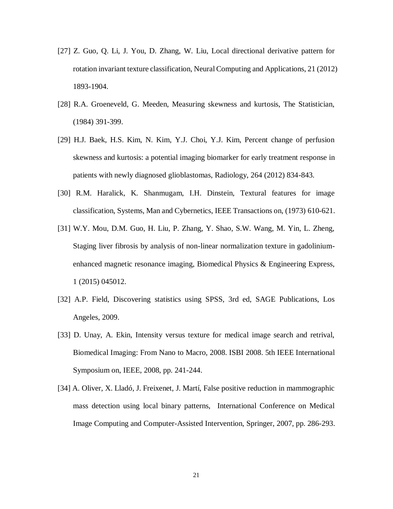- [27] Z. Guo, Q. Li, J. You, D. Zhang, W. Liu, Local directional derivative pattern for rotation invariant texture classification, Neural Computing and Applications, 21 (2012) 1893-1904.
- [28] R.A. Groeneveld, G. Meeden, Measuring skewness and kurtosis, The Statistician, (1984) 391-399.
- [29] H.J. Baek, H.S. Kim, N. Kim, Y.J. Choi, Y.J. Kim, Percent change of perfusion skewness and kurtosis: a potential imaging biomarker for early treatment response in patients with newly diagnosed glioblastomas, Radiology, 264 (2012) 834-843.
- [30] R.M. Haralick, K. Shanmugam, I.H. Dinstein, Textural features for image classification, Systems, Man and Cybernetics, IEEE Transactions on, (1973) 610-621.
- [31] W.Y. Mou, D.M. Guo, H. Liu, P. Zhang, Y. Shao, S.W. Wang, M. Yin, L. Zheng, Staging liver fibrosis by analysis of non-linear normalization texture in gadoliniumenhanced magnetic resonance imaging, Biomedical Physics & Engineering Express, 1 (2015) 045012.
- [32] A.P. Field, Discovering statistics using SPSS, 3rd ed, SAGE Publications, Los Angeles, 2009.
- [33] D. Unay, A. Ekin, Intensity versus texture for medical image search and retrival, Biomedical Imaging: From Nano to Macro, 2008. ISBI 2008. 5th IEEE International Symposium on, IEEE, 2008, pp. 241-244.
- [34] A. Oliver, X. Lladó, J. Freixenet, J. Martí, False positive reduction in mammographic mass detection using local binary patterns, International Conference on Medical Image Computing and Computer-Assisted Intervention, Springer, 2007, pp. 286-293.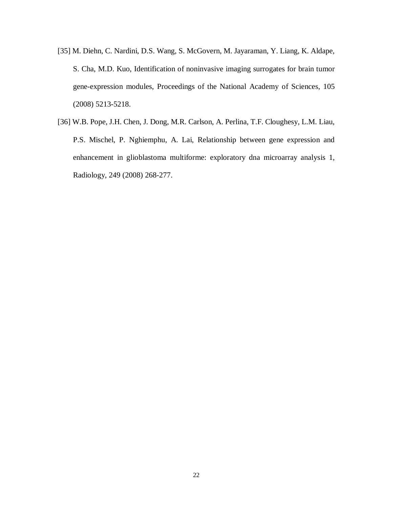- [35] M. Diehn, C. Nardini, D.S. Wang, S. McGovern, M. Jayaraman, Y. Liang, K. Aldape, S. Cha, M.D. Kuo, Identification of noninvasive imaging surrogates for brain tumor gene-expression modules, Proceedings of the National Academy of Sciences, 105 (2008) 5213-5218.
- [36] W.B. Pope, J.H. Chen, J. Dong, M.R. Carlson, A. Perlina, T.F. Cloughesy, L.M. Liau, P.S. Mischel, P. Nghiemphu, A. Lai, Relationship between gene expression and enhancement in glioblastoma multiforme: exploratory dna microarray analysis 1, Radiology, 249 (2008) 268-277.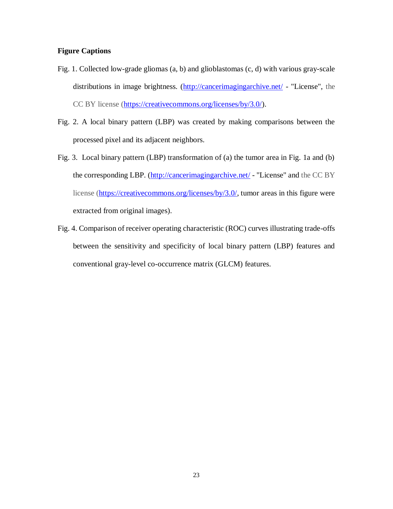### **Figure Captions**

- Fig. 1. Collected low-grade gliomas (a, b) and glioblastomas (c, d) with various gray-scale distributions in image brightness. [\(http://cancerimagingarchive.net/](http://cancerimagingarchive.net/) - "License", the CC BY license [\(https://creativecommons.org/licenses/by/3.0/\)](https://creativecommons.org/licenses/by/3.0/).
- Fig. 2. A local binary pattern (LBP) was created by making comparisons between the processed pixel and its adjacent neighbors.
- Fig. 3. Local binary pattern (LBP) transformation of (a) the tumor area in Fig. 1a and (b) the corresponding LBP. [\(http://cancerimagingarchive.net/](http://cancerimagingarchive.net/) - "License" and the CC BY license [\(https://creativecommons.org/licenses/by/3.0/,](https://creativecommons.org/licenses/by/3.0/) tumor areas in this figure were extracted from original images).
- Fig. 4. Comparison of receiver operating characteristic (ROC) curves illustrating trade-offs between the sensitivity and specificity of local binary pattern (LBP) features and conventional gray-level co-occurrence matrix (GLCM) features.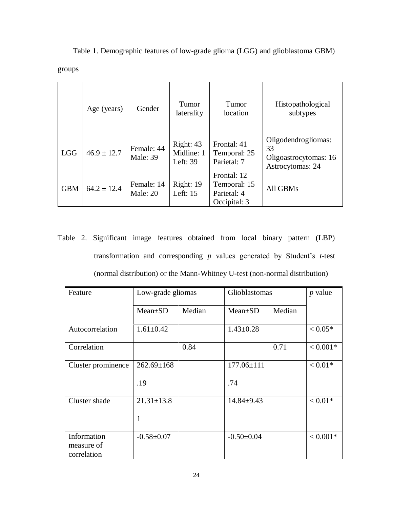Table 1. Demographic features of low-grade glioma (LGG) and glioblastoma GBM) groups

|            | Age (years)     | Gender                 | Tumor<br>laterality                 | Tumor<br>location                                          | Histopathological<br>subtypes                                          |
|------------|-----------------|------------------------|-------------------------------------|------------------------------------------------------------|------------------------------------------------------------------------|
| <b>LGG</b> | $46.9 \pm 12.7$ | Female: 44<br>Male: 39 | Right: 43<br>Midline: 1<br>Left: 39 | Frontal: 41<br>Temporal: 25<br>Parietal: 7                 | Oligodendrogliomas:<br>33<br>Oligoastrocytomas: 16<br>Astrocytomas: 24 |
| <b>GBM</b> | $64.2 \pm 12.4$ | Female: 14<br>Male: 20 | Right: $19$<br>Left: $15$           | Frontal: 12<br>Temporal: 15<br>Parietal: 4<br>Occipital: 3 | All GBMs                                                               |

Table 2. Significant image features obtained from local binary pattern (LBP) transformation and corresponding *p* values generated by Student's *t*-test (normal distribution) or the Mann-Whitney U-test (non-normal distribution)

| Feature                                  | Low-grade gliomas |        | Glioblastomas    |        | $p$ value  |
|------------------------------------------|-------------------|--------|------------------|--------|------------|
|                                          | $Mean \pm SD$     | Median | $Mean \pm SD$    | Median |            |
| Autocorrelation                          | $1.61 \pm 0.42$   |        | $1.43 \pm 0.28$  |        | $< 0.05*$  |
| Correlation                              |                   | 0.84   |                  | 0.71   | $< 0.001*$ |
| Cluster prominence                       | $262.69 \pm 168$  |        | $177.06 \pm 111$ |        | $< 0.01*$  |
|                                          | .19               |        | .74              |        |            |
| Cluster shade                            | $21.31 \pm 13.8$  |        | $14.84 \pm 9.43$ |        | $< 0.01*$  |
|                                          | 1                 |        |                  |        |            |
| Information<br>measure of<br>correlation | $-0.58+0.07$      |        | $-0.50+0.04$     |        | $< 0.001*$ |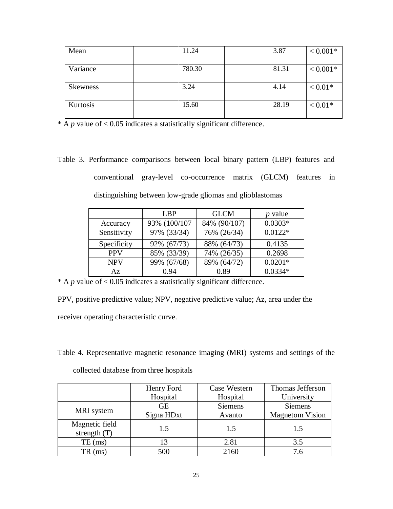| Mean     | 11.24  | 3.87  | $< 0.001*$ |
|----------|--------|-------|------------|
| Variance | 780.30 | 81.31 | $< 0.001*$ |
| Skewness | 3.24   | 4.14  | $< 0.01*$  |
| Kurtosis | 15.60  | 28.19 | $< 0.01*$  |

\* A  $p$  value of < 0.05 indicates a statistically significant difference.

Table 3. Performance comparisons between local binary pattern (LBP) features and conventional gray-level co-occurrence matrix (GLCM) features in distinguishing between low-grade gliomas and glioblastomas

|             | L <sub>BP</sub> | <b>GLCM</b>  | <i>p</i> value |
|-------------|-----------------|--------------|----------------|
| Accuracy    | 93% (100/107    | 84% (90/107) | $0.0303*$      |
| Sensitivity | 97% (33/34)     | 76% (26/34)  | $0.0122*$      |
| Specificity | 92% (67/73)     | 88% (64/73)  | 0.4135         |
| <b>PPV</b>  | 85% (33/39)     | 74% (26/35)  | 0.2698         |
| <b>NPV</b>  | 99% (67/68)     | 89% (64/72)  | $0.0201*$      |
| Az          | 0.94            | 0.89         | $0.0334*$      |

 $* A p$  value of < 0.05 indicates a statistically significant difference.

PPV, positive predictive value; NPV, negative predictive value; Az, area under the receiver operating characteristic curve.

Table 4. Representative magnetic resonance imaging (MRI) systems and settings of the collected database from three hospitals

|                   | Henry Ford<br>Hospital | Case Western<br>Hospital | Thomas Jefferson<br>University |
|-------------------|------------------------|--------------------------|--------------------------------|
|                   |                        |                          |                                |
| MRI system        | <b>GE</b>              | <b>Siemens</b>           | <b>Siemens</b>                 |
|                   | Signa HDxt             | Avanto                   | <b>Magnetom Vision</b>         |
| Magnetic field    | 1.5                    | 1.5                      | 1.5                            |
| strength $(T)$    |                        |                          |                                |
| $TE$ (ms)         | 13                     | 2.81                     | 3.5                            |
| $TR \text{ (ms)}$ | 500                    | 2160                     | 7.6                            |